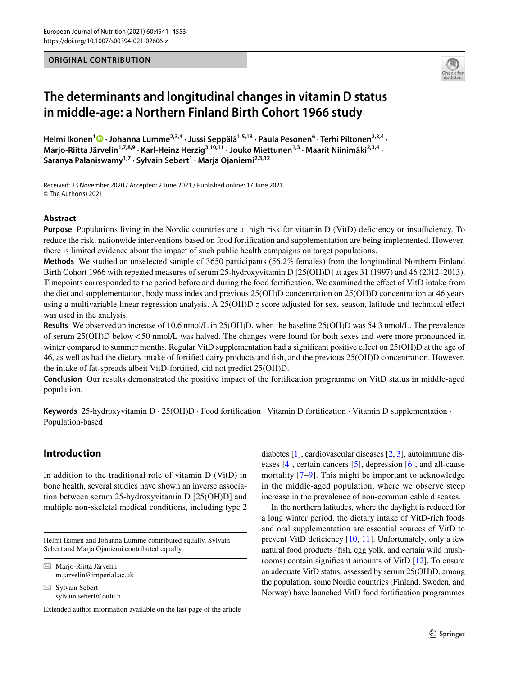#### **ORIGINAL CONTRIBUTION**



# **The determinants and longitudinal changes in vitamin D status in middle‑age: a Northern Finland Birth Cohort 1966 study**

HelmiIkonen<sup>1</sup> <sup>D</sup> · Johanna Lumme<sup>2,3,4</sup> · Jussi Seppälä<sup>1,5,13</sup> · Paula Pesonen<sup>6</sup> · Terhi Piltonen<sup>2,3,4</sup> · Marjo-Riitta Järvelin<sup>1,7,8,9</sup> · Karl-Heinz Herzig<sup>3,10,11</sup> · Jouko Miettunen<sup>1,3</sup> · Maarit Niinimäki<sup>2,3,4</sup> · **Saranya Palaniswamy1,7 · Sylvain Sebert1 · Marja Ojaniemi2,3,12**

Received: 23 November 2020 / Accepted: 2 June 2021 / Published online: 17 June 2021 © The Author(s) 2021

## **Abstract**

**Purpose** Populations living in the Nordic countries are at high risk for vitamin D (VitD) deficiency or insufficiency. To reduce the risk, nationwide interventions based on food fortifcation and supplementation are being implemented. However, there is limited evidence about the impact of such public health campaigns on target populations.

**Methods** We studied an unselected sample of 3650 participants (56.2% females) from the longitudinal Northern Finland Birth Cohort 1966 with repeated measures of serum 25-hydroxyvitamin D [25(OH)D] at ages 31 (1997) and 46 (2012–2013). Timepoints corresponded to the period before and during the food fortifcation. We examined the efect of VitD intake from the diet and supplementation, body mass index and previous 25(OH)D concentration on 25(OH)D concentration at 46 years using a multivariable linear regression analysis. A  $25(OH)D z$  score adjusted for sex, season, latitude and technical effect was used in the analysis.

**Results** We observed an increase of 10.6 nmol/L in 25(OH)D, when the baseline 25(OH)D was 54.3 nmol/L. The prevalence of serum 25(OH)D below<50 nmol/L was halved. The changes were found for both sexes and were more pronounced in winter compared to summer months. Regular VitD supplementation had a significant positive effect on 25(OH)D at the age of 46, as well as had the dietary intake of fortifed dairy products and fsh, and the previous 25(OH)D concentration. However, the intake of fat-spreads albeit VitD-fortifed, did not predict 25(OH)D.

**Conclusion** Our results demonstrated the positive impact of the fortifcation programme on VitD status in middle-aged population.

**Keywords** 25-hydroxyvitamin D · 25(OH)D · Food fortifcation · Vitamin D fortifcation · Vitamin D supplementation · Population-based

# **Introduction**

In addition to the traditional role of vitamin D (VitD) in bone health, several studies have shown an inverse association between serum 25-hydroxyvitamin D [25(OH)D] and multiple non-skeletal medical conditions, including type 2

Helmi Ikonen and Johanna Lumme contributed equally. Sylvain Sebert and Marja Ojaniemi contributed equally.

 $\boxtimes$  Marjo-Riitta Järvelin m.jarvelin@imperial.ac.uk

 $\boxtimes$  Sylvain Sebert sylvain.sebert@oulu.f

Extended author information available on the last page of the article

diabetes [\[1](#page-10-0)], cardiovascular diseases [[2,](#page-10-1) [3](#page-10-2)], autoimmune diseases [[4\]](#page-10-3), certain cancers [\[5](#page-10-4)], depression [\[6](#page-10-5)], and all-cause mortality [[7](#page-10-6)[–9](#page-10-7)]. This might be important to acknowledge in the middle-aged population, where we observe steep increase in the prevalence of non-communicable diseases.

In the northern latitudes, where the daylight is reduced for a long winter period, the dietary intake of VitD-rich foods and oral supplementation are essential sources of VitD to prevent VitD deficiency [\[10](#page-10-8), [11](#page-10-9)]. Unfortunately, only a few natural food products (fsh, egg yolk, and certain wild mushrooms) contain signifcant amounts of VitD [\[12](#page-10-10)]. To ensure an adequate VitD status, assessed by serum 25(OH)D, among the population, some Nordic countries (Finland, Sweden, and Norway) have launched VitD food fortifcation programmes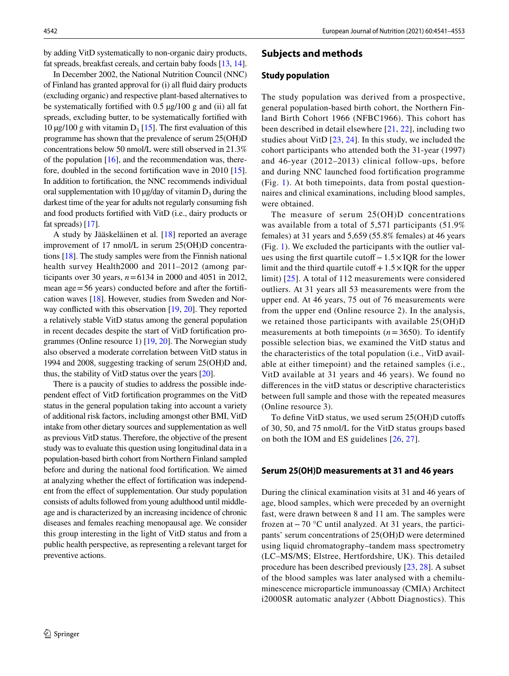by adding VitD systematically to non-organic dairy products, fat spreads, breakfast cereals, and certain baby foods [\[13,](#page-10-11) [14](#page-10-12)].

In December 2002, the National Nutrition Council (NNC) of Finland has granted approval for (i) all fuid dairy products (excluding organic) and respective plant-based alternatives to be systematically fortified with 0.5  $\mu$ g/100 g and (ii) all fat spreads, excluding butter, to be systematically fortifed with 10  $\mu$ g/100 g with vitamin D<sub>3</sub> [[15](#page-10-13)]. The first evaluation of this programme has shown that the prevalence of serum 25(OH)D concentrations below 50 nmol/L were still observed in 21.3% of the population  $[16]$  $[16]$  $[16]$ , and the recommendation was, therefore, doubled in the second fortifcation wave in 2010 [\[15](#page-10-13)]. In addition to fortifcation, the NNC recommends individual oral supplementation with 10  $\mu$ g/day of vitamin D<sub>3</sub> during the darkest time of the year for adults not regularly consuming fsh and food products fortifed with VitD (i.e., dairy products or fat spreads) [\[17](#page-10-15)].

A study by Jääskeläinen et al*.* [[18](#page-10-16)] reported an average improvement of 17 nmol/L in serum 25(OH)D concentrations [[18](#page-10-16)]. The study samples were from the Finnish national health survey Health2000 and 2011–2012 (among participants over 30 years, *n*=6134 in 2000 and 4051 in 2012, mean age = 56 years) conducted before and after the fortification waves [\[18](#page-10-16)]. However, studies from Sweden and Norway conficted with this observation [\[19,](#page-10-17) [20\]](#page-10-18). They reported a relatively stable VitD status among the general population in recent decades despite the start of VitD fortifcation programmes (Online resource 1) [\[19](#page-10-17), [20](#page-10-18)]. The Norwegian study also observed a moderate correlation between VitD status in 1994 and 2008, suggesting tracking of serum 25(OH)D and, thus, the stability of VitD status over the years [\[20](#page-10-18)].

There is a paucity of studies to address the possible independent efect of VitD fortifcation programmes on the VitD status in the general population taking into account a variety of additional risk factors, including amongst other BMI, VitD intake from other dietary sources and supplementation as well as previous VitD status. Therefore, the objective of the present study was to evaluate this question using longitudinal data in a population-based birth cohort from Northern Finland sampled before and during the national food fortifcation. We aimed at analyzing whether the efect of fortifcation was independent from the efect of supplementation. Our study population consists of adults followed from young adulthood until middleage and is characterized by an increasing incidence of chronic diseases and females reaching menopausal age. We consider this group interesting in the light of VitD status and from a public health perspective, as representing a relevant target for preventive actions.

## **Subjects and methods**

#### **Study population**

The study population was derived from a prospective, general population-based birth cohort, the Northern Finland Birth Cohort 1966 (NFBC1966). This cohort has been described in detail elsewhere [\[21,](#page-10-19) [22](#page-10-20)], including two studies about VitD [\[23,](#page-10-21) [24\]](#page-10-22). In this study, we included the cohort participants who attended both the 31-year (1997) and 46-year (2012–2013) clinical follow-ups, before and during NNC launched food fortifcation programme (Fig. [1](#page-2-0)). At both timepoints, data from postal questionnaires and clinical examinations, including blood samples, were obtained.

The measure of serum 25(OH)D concentrations was available from a total of 5,571 participants (51.9% females) at 31 years and 5,659 (55.8% females) at 46 years (Fig. [1](#page-2-0)). We excluded the participants with the outlier values using the frst quartile cutof−1.5×IQR for the lower limit and the third quartile cutof  $+1.5 \times IQR$  for the upper limit) [\[25\]](#page-10-23). A total of 112 measurements were considered outliers. At 31 years all 53 measurements were from the upper end. At 46 years, 75 out of 76 measurements were from the upper end (Online resource 2). In the analysis, we retained those participants with available 25(OH)D measurements at both timepoints  $(n=3650)$ . To identify possible selection bias, we examined the VitD status and the characteristics of the total population (i.e., VitD available at either timepoint) and the retained samples (i.e., VitD available at 31 years and 46 years). We found no diferences in the vitD status or descriptive characteristics between full sample and those with the repeated measures (Online resource 3).

To defne VitD status, we used serum 25(OH)D cutofs of 30, 50, and 75 nmol/L for the VitD status groups based on both the IOM and ES guidelines [\[26,](#page-10-24) [27\]](#page-10-25).

#### **Serum 25(OH)D measurements at 31 and 46 years**

During the clinical examination visits at 31 and 46 years of age, blood samples, which were preceded by an overnight fast, were drawn between 8 and 11 am. The samples were frozen at−70 °C until analyzed. At 31 years, the participants' serum concentrations of 25(OH)D were determined using liquid chromatography–tandem mass spectrometry (LC–MS/MS; Elstree, Hertfordshire, UK). This detailed procedure has been described previously [[23](#page-10-21), [28](#page-10-26)]. A subset of the blood samples was later analysed with a chemiluminescence microparticle immunoassay (CMIA) Architect i2000SR automatic analyzer (Abbott Diagnostics). This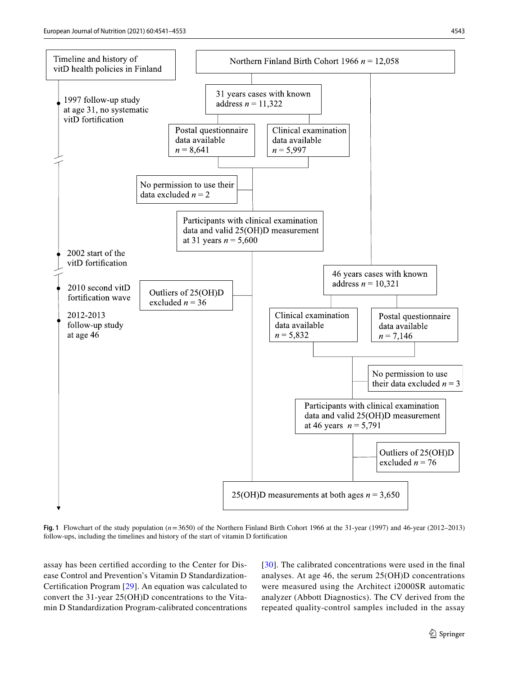

<span id="page-2-0"></span>**Fig. 1** Flowchart of the study population ( $n=3650$ ) of the Northern Finland Birth Cohort 1966 at the 31-year (1997) and 46-year (2012–2013) follow-ups, including the timelines and history of the start of vitamin D fortifcation

assay has been certifed according to the Center for Disease Control and Prevention's Vitamin D Standardization-Certifcation Program [[29](#page-10-27)]. An equation was calculated to convert the 31-year 25(OH)D concentrations to the Vitamin D Standardization Program-calibrated concentrations [[30](#page-10-28)]. The calibrated concentrations were used in the fnal analyses. At age 46, the serum 25(OH)D concentrations were measured using the Architect i2000SR automatic analyzer (Abbott Diagnostics). The CV derived from the repeated quality-control samples included in the assay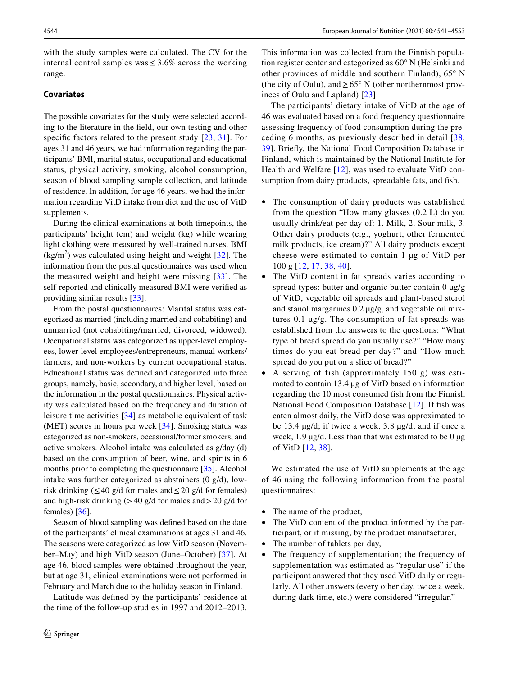with the study samples were calculated. The CV for the internal control samples was  $\leq 3.6\%$  across the working range.

## **Covariates**

The possible covariates for the study were selected according to the literature in the feld, our own testing and other specific factors related to the present study [[23](#page-10-21), [31\]](#page-11-0). For ages 31 and 46 years, we had information regarding the participants' BMI, marital status, occupational and educational status, physical activity, smoking, alcohol consumption, season of blood sampling sample collection, and latitude of residence. In addition, for age 46 years, we had the information regarding VitD intake from diet and the use of VitD supplements.

During the clinical examinations at both timepoints, the participants' height (cm) and weight (kg) while wearing light clothing were measured by well-trained nurses. BMI  $(kg/m<sup>2</sup>)$  was calculated using height and weight [[32](#page-11-1)]. The information from the postal questionnaires was used when the measured weight and height were missing [\[33\]](#page-11-2). The self-reported and clinically measured BMI were verifed as providing similar results [\[33](#page-11-2)].

From the postal questionnaires: Marital status was categorized as married (including married and cohabiting) and unmarried (not cohabiting/married, divorced, widowed). Occupational status was categorized as upper-level employees, lower-level employees/entrepreneurs, manual workers/ farmers, and non-workers by current occupational status. Educational status was defned and categorized into three groups, namely, basic, secondary, and higher level, based on the information in the postal questionnaires. Physical activity was calculated based on the frequency and duration of leisure time activities [\[34\]](#page-11-3) as metabolic equivalent of task (MET) scores in hours per week [\[34\]](#page-11-3). Smoking status was categorized as non-smokers, occasional/former smokers, and active smokers. Alcohol intake was calculated as g/day (d) based on the consumption of beer, wine, and spirits in 6 months prior to completing the questionnaire [\[35](#page-11-4)]. Alcohol intake was further categorized as abstainers (0 g/d), lowrisk drinking ( $\leq 40$  g/d for males and  $\leq 20$  g/d for females) and high-risk drinking  $(>40 \text{ g/d}$  for males and  $>20 \text{ g/d}$  for females) [\[36](#page-11-5)].

Season of blood sampling was defned based on the date of the participants' clinical examinations at ages 31 and 46. The seasons were categorized as low VitD season (November–May) and high VitD season (June–October) [\[37\]](#page-11-6). At age 46, blood samples were obtained throughout the year, but at age 31, clinical examinations were not performed in February and March due to the holiday season in Finland.

Latitude was defned by the participants' residence at the time of the follow-up studies in 1997 and 2012–2013. This information was collected from the Finnish population register center and categorized as 60° N (Helsinki and other provinces of middle and southern Finland), 65° N (the city of Oulu), and  $\geq 65^{\circ}$  N (other northernmost provinces of Oulu and Lapland) [[23](#page-10-21)].

The participants' dietary intake of VitD at the age of 46 was evaluated based on a food frequency questionnaire assessing frequency of food consumption during the preceding 6 months, as previously described in detail [[38,](#page-11-7) [39\]](#page-11-8). Briefy, the National Food Composition Database in Finland, which is maintained by the National Institute for Health and Welfare [[12](#page-10-10)], was used to evaluate VitD consumption from dairy products, spreadable fats, and fish.

- The consumption of dairy products was established from the question "How many glasses (0.2 L) do you usually drink/eat per day of: 1. Milk, 2. Sour milk, 3. Other dairy products (e.g., yoghurt, other fermented milk products, ice cream)?" All dairy products except cheese were estimated to contain 1 µg of VitD per 100 g [[12](#page-10-10), [17,](#page-10-15) [38](#page-11-7), [40](#page-11-9)].
- The VitD content in fat spreads varies according to spread types: butter and organic butter contain 0  $\mu$ g/g of VitD, vegetable oil spreads and plant-based sterol and stanol margarines 0.2 µg/g, and vegetable oil mixtures 0.1 µg/g. The consumption of fat spreads was established from the answers to the questions: "What type of bread spread do you usually use?" "How many times do you eat bread per day?" and "How much spread do you put on a slice of bread?"
- A serving of fish (approximately 150 g) was estimated to contain 13.4 µg of VitD based on information regarding the 10 most consumed fsh from the Finnish National Food Composition Database [\[12\]](#page-10-10). If fish was eaten almost daily, the VitD dose was approximated to be 13.4 µg/d; if twice a week, 3.8 µg/d; and if once a week,  $1.9 \mu g/d$ . Less than that was estimated to be  $0 \mu g$ of VitD [\[12,](#page-10-10) [38](#page-11-7)].

We estimated the use of VitD supplements at the age of 46 using the following information from the postal questionnaires:

- The name of the product,
- The VitD content of the product informed by the participant, or if missing, by the product manufacturer,
- The number of tablets per day,
- The frequency of supplementation; the frequency of supplementation was estimated as "regular use" if the participant answered that they used VitD daily or regularly. All other answers (every other day, twice a week, during dark time, etc.) were considered "irregular."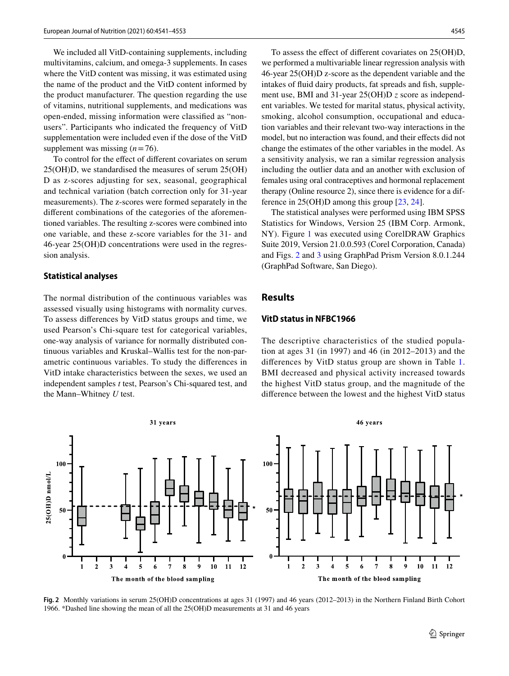We included all VitD-containing supplements, including multivitamins, calcium, and omega-3 supplements. In cases where the VitD content was missing, it was estimated using the name of the product and the VitD content informed by the product manufacturer. The question regarding the use of vitamins, nutritional supplements, and medications was open-ended, missing information were classifed as "nonusers". Participants who indicated the frequency of VitD supplementation were included even if the dose of the VitD supplement was missing  $(n=76)$ .

To control for the efect of diferent covariates on serum 25(OH)D, we standardised the measures of serum 25(OH) D as z-scores adjusting for sex, seasonal, geographical and technical variation (batch correction only for 31-year measurements). The z-scores were formed separately in the diferent combinations of the categories of the aforementioned variables. The resulting z-scores were combined into one variable, and these z-score variables for the 31- and 46-year 25(OH)D concentrations were used in the regression analysis.

#### **Statistical analyses**

The normal distribution of the continuous variables was assessed visually using histograms with normality curves. To assess diferences by VitD status groups and time, we used Pearson's Chi-square test for categorical variables, one-way analysis of variance for normally distributed continuous variables and Kruskal–Wallis test for the non-parametric continuous variables. To study the diferences in VitD intake characteristics between the sexes, we used an independent samples *t* test, Pearson's Chi-squared test, and the Mann–Whitney *U* test.

To assess the effect of different covariates on 25(OH)D, we performed a multivariable linear regression analysis with 46-year 25(OH)D z-score as the dependent variable and the intakes of fluid dairy products, fat spreads and fish, supplement use, BMI and 31-year 25(OH)D *z* score as independent variables. We tested for marital status, physical activity, smoking, alcohol consumption, occupational and education variables and their relevant two-way interactions in the model, but no interaction was found, and their effects did not change the estimates of the other variables in the model. As a sensitivity analysis, we ran a similar regression analysis including the outlier data and an another with exclusion of females using oral contraceptives and hormonal replacement therapy (Online resource 2), since there is evidence for a difference in 25(OH)D among this group [[23,](#page-10-21) [24](#page-10-22)].

The statistical analyses were performed using IBM SPSS Statistics for Windows, Version 25 (IBM Corp. Armonk, NY). Figure [1](#page-2-0) was executed using CorelDRAW Graphics Suite 2019, Version 21.0.0.593 (Corel Corporation, Canada) and Figs. [2](#page-4-0) and [3](#page-5-0) using GraphPad Prism Version 8.0.1.244 (GraphPad Software, San Diego).

## **Results**

#### **VitD status in NFBC1966**

The descriptive characteristics of the studied population at ages 31 (in 1997) and 46 (in 2012–2013) and the diferences by VitD status group are shown in Table [1.](#page-6-0) BMI decreased and physical activity increased towards the highest VitD status group, and the magnitude of the diference between the lowest and the highest VitD status



<span id="page-4-0"></span>**Fig. 2** Monthly variations in serum 25(OH)D concentrations at ages 31 (1997) and 46 years (2012–2013) in the Northern Finland Birth Cohort 1966. \*Dashed line showing the mean of all the 25(OH)D measurements at 31 and 46 years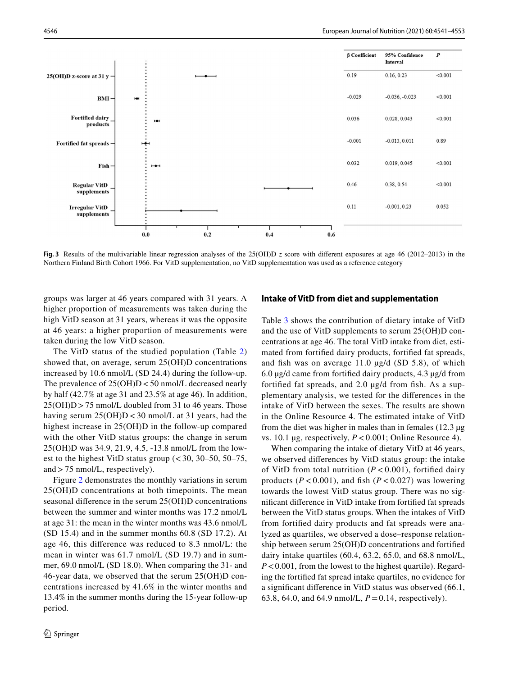

<span id="page-5-0"></span>**Fig.** 3 Results of the multivariable linear regression analyses of the 25(OH)D *z* score with different exposures at age 46 (2012–2013) in the Northern Finland Birth Cohort 1966. For VitD supplementation, no VitD supplementation was used as a reference category

groups was larger at 46 years compared with 31 years. A higher proportion of measurements was taken during the high VitD season at 31 years, whereas it was the opposite at 46 years: a higher proportion of measurements were taken during the low VitD season.

The VitD status of the studied population (Table [2\)](#page-7-0) showed that, on average, serum 25(OH)D concentrations increased by 10.6 nmol/L (SD 24.4) during the follow-up. The prevalence of  $25(OH)D < 50$  nmol/L decreased nearly by half (42.7% at age 31 and 23.5% at age 46). In addition,  $25(OH)D > 75$  nmol/L doubled from 31 to 46 years. Those having serum  $25(OH)D < 30$  nmol/L at 31 years, had the highest increase in 25(OH)D in the follow-up compared with the other VitD status groups: the change in serum 25(OH)D was 34.9, 21.9, 4.5, -13.8 nmol/L from the lowest to the highest VitD status group  $( $30, 30-50, 50-75,$$ and>75 nmol/L, respectively).

Figure [2](#page-4-0) demonstrates the monthly variations in serum 25(OH)D concentrations at both timepoints. The mean seasonal diference in the serum 25(OH)D concentrations between the summer and winter months was 17.2 nmol/L at age 31: the mean in the winter months was 43.6 nmol/L (SD 15.4) and in the summer months 60.8 (SD 17.2). At age 46, this diference was reduced to 8.3 nmol/L: the mean in winter was 61.7 nmol/L (SD 19.7) and in summer, 69.0 nmol/L (SD 18.0). When comparing the 31- and 46-year data, we observed that the serum 25(OH)D concentrations increased by 41.6% in the winter months and 13.4% in the summer months during the 15-year follow-up period.

#### **Intake of VitD from diet and supplementation**

Table [3](#page-7-1) shows the contribution of dietary intake of VitD and the use of VitD supplements to serum 25(OH)D concentrations at age 46. The total VitD intake from diet, estimated from fortifed dairy products, fortifed fat spreads, and fish was on average  $11.0 \mu g/d$  (SD 5.8), of which 6.0 µg/d came from fortifed dairy products, 4.3 µg/d from fortifed fat spreads, and 2.0 µg/d from fsh. As a supplementary analysis, we tested for the diferences in the intake of VitD between the sexes. The results are shown in the Online Resource 4. The estimated intake of VitD from the diet was higher in males than in females  $(12.3 \mu g)$ vs. 10.1 µg, respectively, *P*<0.001; Online Resource 4).

When comparing the intake of dietary VitD at 46 years, we observed diferences by VitD status group: the intake of VitD from total nutrition (*P* < 0.001), fortifed dairy products ( $P < 0.001$ ), and fish ( $P < 0.027$ ) was lowering towards the lowest VitD status group. There was no signifcant diference in VitD intake from fortifed fat spreads between the VitD status groups. When the intakes of VitD from fortifed dairy products and fat spreads were analyzed as quartiles, we observed a dose–response relationship between serum 25(OH)D concentrations and fortifed dairy intake quartiles (60.4, 63.2, 65.0, and 68.8 nmol/L, *P*<0.001, from the lowest to the highest quartile). Regarding the fortifed fat spread intake quartiles, no evidence for a signifcant diference in VitD status was observed (66.1, 63.8, 64.0, and 64.9 nmol/L,  $P = 0.14$ , respectively).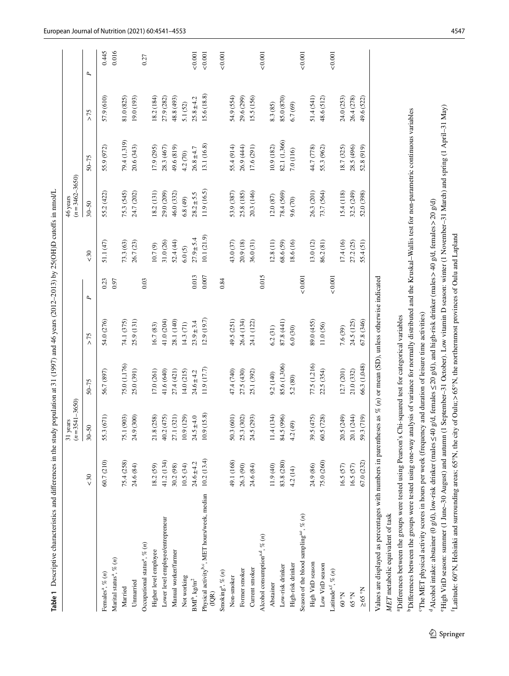|                                                                              |                | $(n=3541-3650)$<br>31 years |                |                |       |                | $(n=3462-3650)$<br>46 years |                |                |               |
|------------------------------------------------------------------------------|----------------|-----------------------------|----------------|----------------|-------|----------------|-----------------------------|----------------|----------------|---------------|
|                                                                              | &50            | $30 - 50$                   | $50 - 75$      | $>75$          | P,    | < 30           | $30 - 50$                   | $50 - 75$      | >75            | P,            |
| Females <sup>a</sup> , % $(n)$                                               | 60.7 (210)     | 55.3 (671)                  | 56.7 (897)     | 54.0 (276)     | 0.23  | 51.1 (47)      | 55.2 (422)                  | 55.9 (972)     | 57.9 (610)     | 0.445         |
| Marital status <sup>a</sup> , $\%$ $(n)$                                     |                |                             |                |                | 0.97  |                |                             |                |                | 0.016         |
| Married                                                                      | 75.4 (258)     | (903)<br>75.1               | 75.0 (1,176)   | 74.1 (375)     |       | 73.3 (63)      | 75.3 (545)                  | 79.4 (1,319)   | 81.0 (825)     |               |
| Unnarried                                                                    | 24.6 (84)      | (300)<br>24.9               | 25.0 (391)     | 25.9 (131)     |       | 26.7 (23)      | 24.7 (202)                  | 20.6 (343)     | 19.0 (193)     |               |
| Occupational status <sup>a</sup> , % (n)                                     |                |                             |                |                | 0.03  |                |                             |                |                | 0.27          |
| Higher level employee                                                        | 18.2 (59)      | (258)<br>21.8(              | 17.0 (261)     | 16.7 (83)      |       | 10.7(9)        | 18.2(131)                   | 17.9 (295)     | 18.2 (184)     |               |
| Lower level employee/entrepreneur                                            | 41.2 (134)     | 40.2 (475)                  | 41.6 (640)     | 41.0 (204)     |       | 31.0 (26)      | 29.0 (209)                  | 28.3 (467)     | 27.9 (282)     |               |
| Manual worker/farmer                                                         | 30.2 (98)      | 27.1 (321)                  | 27.4 (421)     | 28.1 (140)     |       | 52.4(44)       | 46.0 (332)                  | 49.6 (819)     | 48.8 (493)     |               |
| Not working                                                                  | 10.5(34)       | (129)<br>10.9(              | 14.0 (215)     | 14.3 (71)      |       | 6.0(5)         | 6.8(49)                     | 4.2(70)        | 5.1 (52)       |               |
| $\text{BMI}^{\text{b}}, \text{kg/m}^2$                                       | $24.6 \pm 4.2$ | $24.5 \pm 4.0$              | $24.6 \pm 4.2$ | $23.9 \pm 3.4$ | 0.013 | $27.9 \pm 5.4$ | $28.2 \pm 5.5$              | $26.8 \pm 4.7$ | $25.8 \pm 4.2$ | 0.001         |
| Physical activity <sup>b,c</sup> , MET hours/week, median<br>(QR)            | 10.2(13.4)     | 10.9(15.8)                  | 11.9 (17.7)    | 12.9(19.7)     | 0.007 | 10.1(21.9)     | 11.9 (16.5)                 | 13.1 (16.8)    | 15.6 (18.8)    | ${}_{0.001}$  |
| Smoking <sup>a</sup> , % $(n)$                                               |                |                             |                |                | 0.84  |                |                             |                |                | 0.001         |
| Non-smoker                                                                   | 49.1 (168)     | 601<br>50.3 <sub>0</sub>    | 47.4 (740)     | 49.5 (251)     |       | 43.0 (37)      | 53.9 (387)                  | 55.4 (914)     | 54.9 (554)     |               |
| Former smoker                                                                | 26.3 (90)      | 25.3 (302)                  | 27.5 (430)     | 26.4 (134)     |       | 20.9 (18)      | 25.8 (185)                  | 26.9 (444)     | 29.6 (299)     |               |
| Current smoker                                                               | 24.6 (84)      | 24.5 (293)                  | 25.1 (392)     | 24.1 (122)     |       | 36.0 (31)      | 20.3 (146)                  | 17.6 (291)     | 15.5 (156)     |               |
| Alcohol consumption <sup>a, <math>\frac{a}{b}</math></sup> $\frac{a}{c}$ (n) |                |                             |                |                | 0.015 |                |                             |                |                | 0.001         |
| Abstainer                                                                    | 11.9(40)       | 11.4 (134)                  | 9.2 (140)      | 6.2(31)        |       | 12.8(11)       | 12.0(87)                    | 10.9 (182)     | 8.3 (85)       |               |
| Low-risk drinker                                                             | 83.8 (280)     | (996)<br>84.5 (             | 85.6 (1,306)   | 87.8 (441)     |       | 68.6 (59)      | 78.4 (569)                  | 82.1 (1,366)   | 85.0 (870)     |               |
| High-risk drinker                                                            | 4.2 (14)       | 4.2 (49)                    | 5.2 (80)       | 6.0(30)        |       | 18.6 (16)      | 9.6 (70)                    | 7.0 (116)      | 6.7(69)        |               |
| Season of the blood sampling <sup>a,e</sup> , % $(n)$                        |                |                             |                |                | 0.001 |                |                             |                |                | ${}_{<0.001}$ |
| High VitD season                                                             | 24.9 (86)      | 39.5 (475)                  | 77.5 (1,216)   | 89.0 (455)     |       | 13.0 (12)      | 26.3(201)                   | 44.7 (778)     | 51.4(541)      |               |
| Low VitD season                                                              | 75.0 (260)     | 60.5 (728)                  | 22.5 (354)     | 11.0 (56)      |       | 86.2 (81)      | 73.7 (564)                  | 55.3 (962)     | 48.6 (512)     |               |
| Latitude <sup>a, <i>%</i> <math>(n)</math></sup>                             |                |                             |                |                | 0.001 |                |                             |                |                | ${}_{<0.001}$ |
| $\mathrm{N_{\circ}}$ 09                                                      | 16.5(57)       | 20.5 (249)                  | 12.7 (201)     | 7.6 (39)       |       | 17.4(16)       | 15.4(118)                   | 18.7 (325)     | 24.0 (253)     |               |
| N°59                                                                         | 16.5(57)       | 20.1 (244)                  | 21.0 (332)     | 24.5 (125)     |       | 27.2 (25)      | 32.5 (249)                  | 28.5 (496)     | 26.4 (278)     |               |
| $\rm N_{\circ}$ $\rm S9 \leq$                                                | 67.0 (232)     | 59.3 (719)                  | 66.3 (1,048)   | 67.8 (346)     |       | 55.4(51)       | 52.0 (398)                  | 52.8 (919)     | 49.6 (522)     |               |

*MET* metabolic equivalent of task MET metabolic equivalent of tas

<span id="page-6-0"></span><sup>a</sup>Differences between the groups were tested using Pearson's Chi-squared test for categorical variables <sup>a</sup>Differences between the groups were tested using Pearson's Chi-squared test for categorical variables

<sup>b</sup>Differences between the groups were tested using one-way analysis of variance for normally distributed and the Kruskal-Wallis test for non-parametric continuous variables **DDifferences between the groups were tested using one-way analysis of variance for normally distributed and the Kruskal–Wallis test for non-parametric continuous variables** "The MET physical activity scores in hours per week (frequency and duration of leisure time activities) cThe MET physical activity scores in hours per week (frequency and duration of leisure time activities)

<sup>d</sup>Alcohol intake: abstainer (0 g/d), low-risk drinker (males  $\leq$ 40 g/d, females  $\leq$  20 g/d), and high-risk drinker (males > 40 g/d, females > 20 g/d) dAlcohol intake: abstainer (0 g/d), low-risk drinker (males≤40 g/d, females≤20 g/d), and high-risk drinker (males>40 g/d, females>20 g/d)

High VitD season: summer (1 June-30 August) and autumn (1 September-31 October). Low vitamin D season: winter (1 November-31 March) and spring (1 April-31 May) eHigh VitD season: summer (1 June–30 August) and autumn (1 September–31 October). Low vitamin D season: winter (1 November–31 March) and spring (1 April–31 May)

Latitude: 60°N, Helsinki and surrounding areas; 65°N, the city of Oulu; > 65°N, the northernmost provinces of Oulu and Lapland fLatitude: 60°N, Helsinki and surrounding areas; 65°N, the city of Oulu;>65°N, the northernmost provinces of Oulu and Lapland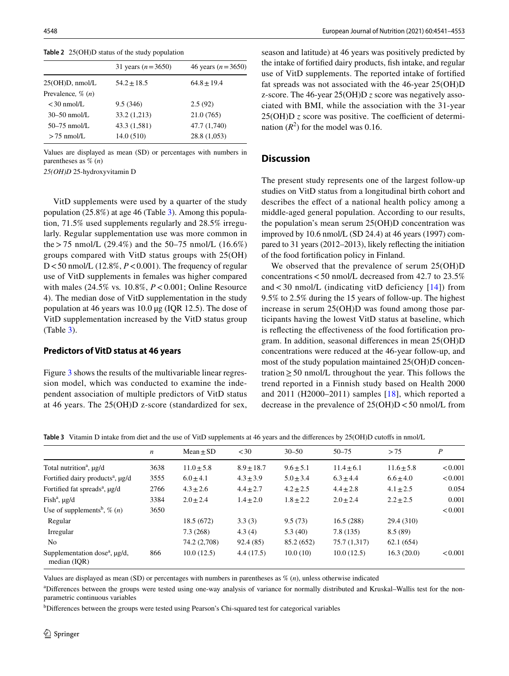|                        | 31 years $(n=3650)$ | 46 years ( $n = 3650$ ) |
|------------------------|---------------------|-------------------------|
| $25(OH)D$ , nmol/L     | $54.2 + 18.5$       | $64.8 + 19.4$           |
| Prevalence, $\%$ $(n)$ |                     |                         |
| $<$ 30 nmol/L          | 9.5(346)            | 2.5(92)                 |
| $30 - 50$ nmol/L       | 33.2 (1,213)        | 21.0(765)               |
| $50 - 75$ nmol/L       | 43.3 (1,581)        | 47.7 (1,740)            |
| $> 75$ nmol/L          | 14.0(510)           | 28.8 (1,053)            |

<span id="page-7-0"></span>**Table 2** 25(OH)D status of the study population

Values are displayed as mean (SD) or percentages with numbers in parentheses as % (*n*)

*25(OH)D* 25-hydroxyvitamin D

VitD supplements were used by a quarter of the study population (25.8%) at age 46 (Table [3](#page-7-1)). Among this population, 71.5% used supplements regularly and 28.5% irregularly. Regular supplementation use was more common in the > 75 nmol/L (29.4%) and the 50–75 nmol/L (16.6%) groups compared with VitD status groups with 25(OH) D < 50 nmol/L (12.8%,  $P$  < 0.001). The frequency of regular use of VitD supplements in females was higher compared with males (24.5% vs*.* 10.8%, *P*<0.001; Online Resource 4). The median dose of VitD supplementation in the study population at 46 years was 10.0 µg (IQR 12.5). The dose of VitD supplementation increased by the VitD status group (Table [3\)](#page-7-1).

#### **Predictors of VitD status at 46 years**

Figure [3](#page-5-0) shows the results of the multivariable linear regression model, which was conducted to examine the independent association of multiple predictors of VitD status at 46 years. The 25(OH)D z-score (standardized for sex,

season and latitude) at 46 years was positively predicted by the intake of fortifed dairy products, fsh intake, and regular use of VitD supplements. The reported intake of fortifed fat spreads was not associated with the 46-year 25(OH)D z-score. The 46-year 25(OH)D *z* score was negatively associated with BMI, while the association with the 31-year  $25(OH)D$  *z* score was positive. The coefficient of determination  $(R^2)$  for the model was 0.16.

## **Discussion**

The present study represents one of the largest follow-up studies on VitD status from a longitudinal birth cohort and describes the efect of a national health policy among a middle-aged general population. According to our results, the population's mean serum 25(OH)D concentration was improved by 10.6 nmol/L (SD 24.4) at 46 years (1997) compared to 31 years (2012–2013), likely refecting the initiation of the food fortifcation policy in Finland.

We observed that the prevalence of serum 25(OH)D concentrations  $<$  50 nmol/L decreased from 42.7 to 23.5% and  $<$  30 nmol/L (indicating vitD deficiency [[14](#page-10-12)]) from 9.5% to 2.5% during the 15 years of follow-up. The highest increase in serum 25(OH)D was found among those participants having the lowest VitD status at baseline, which is refecting the efectiveness of the food fortifcation program. In addition, seasonal diferences in mean 25(OH)D concentrations were reduced at the 46-year follow-up, and most of the study population maintained 25(OH)D concentration  $\geq$  50 nmol/L throughout the year. This follows the trend reported in a Finnish study based on Health 2000 and 2011 (H2000–2011) samples  $[18]$  $[18]$ , which reported a decrease in the prevalence of  $25(OH)D < 50$  nmol/L from

<span id="page-7-1"></span>**Table 3** Vitamin D intake from diet and the use of VitD supplements at 46 years and the diferences by 25(OH)D cutofs in nmol/L

|                                                                | $\boldsymbol{n}$ | $Mean + SD$   | <30           | $30 - 50$     | $50 - 75$     | > 75          | $\boldsymbol{P}$ |
|----------------------------------------------------------------|------------------|---------------|---------------|---------------|---------------|---------------|------------------|
| Total nutrition <sup>a</sup> , $\mu$ g/d                       | 3638             | $11.0 + 5.8$  | $8.9 + 18.7$  | $9.6 + 5.1$   | $11.4 + 6.1$  | $11.6 + 5.8$  | < 0.001          |
| Fortified dairy products <sup>a</sup> , µg/d                   | 3555             | $6.0 \pm 4.1$ | $4.3 \pm 3.9$ | $5.0 \pm 3.4$ | $6.3 \pm 4.4$ | $6.6 \pm 4.0$ | < 0.001          |
| Fortified fat spreads <sup>a</sup> , µg/d                      | 2766             | $4.3 \pm 2.6$ | $4.4 \pm 2.7$ | $4.2 + 2.5$   | $4.4 \pm 2.8$ | $4.1 \pm 2.5$ | 0.054            |
| Fish <sup>a</sup> , $\mu$ g/d                                  | 3384             | $2.0 + 2.4$   | $1.4 + 2.0$   | $1.8 + 2.2$   | $2.0 + 2.4$   | $2.2 + 2.5$   | 0.001            |
| Use of supplements <sup>b</sup> , $\%$ ( <i>n</i> )            | 3650             |               |               |               |               |               | < 0.001          |
| Regular                                                        |                  | 18.5 (672)    | 3.3(3)        | 9.5(73)       | 16.5(288)     | 29.4 (310)    |                  |
| Irregular                                                      |                  | 7.3(268)      | 4.3(4)        | 5.3(40)       | 7.8(135)      | 8.5(89)       |                  |
| N <sub>0</sub>                                                 |                  | 74.2 (2,708)  | 92.4(85)      | 85.2 (652)    | 75.7 (1,317)  | 62.1(654)     |                  |
| Supplementation dose <sup>a</sup> , $\mu$ g/d,<br>median (IOR) | 866              | 10.0(12.5)    | 4.4(17.5)     | 10.0(10)      | 10.0(12.5)    | 16.3(20.0)    | < 0.001          |

Values are displayed as mean (SD) or percentages with numbers in parentheses as % (*n*), unless otherwise indicated

a Diferences between the groups were tested using one-way analysis of variance for normally distributed and Kruskal–Wallis test for the nonparametric continuous variables

<sup>b</sup>Differences between the groups were tested using Pearson's Chi-squared test for categorical variables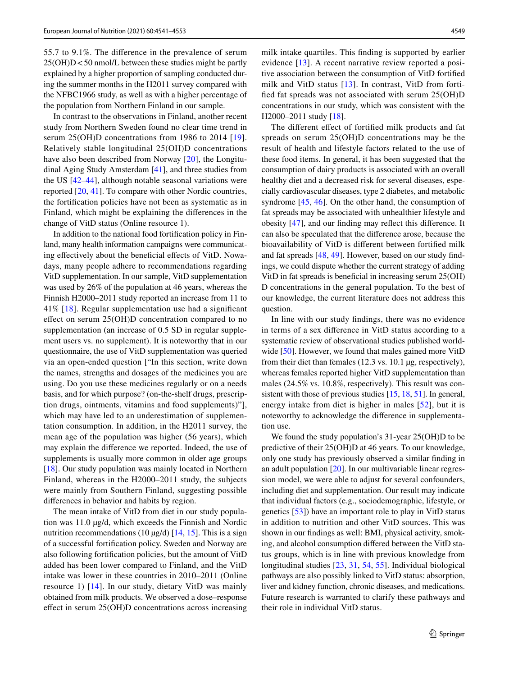55.7 to 9.1%. The diference in the prevalence of serum  $25(OH)D < 50$  nmol/L between these studies might be partly explained by a higher proportion of sampling conducted during the summer months in the H2011 survey compared with the NFBC1966 study, as well as with a higher percentage of the population from Northern Finland in our sample.

In contrast to the observations in Finland, another recent study from Northern Sweden found no clear time trend in serum 25(OH)D concentrations from [19](#page-10-17)86 to 2014 [19]. Relatively stable longitudinal 25(OH)D concentrations have also been described from Norway [[20\]](#page-10-18), the Longitudinal Aging Study Amsterdam [\[41\]](#page-11-10), and three studies from the US [\[42](#page-11-11)[–44\]](#page-11-12), although notable seasonal variations were reported [[20,](#page-10-18) [41](#page-11-10)]. To compare with other Nordic countries, the fortifcation policies have not been as systematic as in Finland, which might be explaining the diferences in the change of VitD status (Online resource 1).

In addition to the national food fortifcation policy in Finland, many health information campaigns were communicating effectively about the beneficial effects of VitD. Nowadays, many people adhere to recommendations regarding VitD supplementation. In our sample, VitD supplementation was used by 26% of the population at 46 years, whereas the Finnish H2000–2011 study reported an increase from 11 to 41% [[18](#page-10-16)]. Regular supplementation use had a signifcant efect on serum 25(OH)D concentration compared to no supplementation (an increase of 0.5 SD in regular supplement users vs. no supplement). It is noteworthy that in our questionnaire, the use of VitD supplementation was queried via an open-ended question ["In this section, write down the names, strengths and dosages of the medicines you are using. Do you use these medicines regularly or on a needs basis, and for which purpose? (on-the-shelf drugs, prescription drugs, ointments, vitamins and food supplements)"], which may have led to an underestimation of supplementation consumption. In addition, in the H2011 survey, the mean age of the population was higher (56 years), which may explain the diference we reported. Indeed, the use of supplements is usually more common in older age groups [\[18\]](#page-10-16). Our study population was mainly located in Northern Finland, whereas in the H2000–2011 study, the subjects were mainly from Southern Finland, suggesting possible diferences in behavior and habits by region.

The mean intake of VitD from diet in our study population was 11.0 µg/d, which exceeds the Finnish and Nordic nutrition recommendations (10  $\mu$ g/d) [[14,](#page-10-12) [15\]](#page-10-13). This is a sign of a successful fortifcation policy. Sweden and Norway are also following fortifcation policies, but the amount of VitD added has been lower compared to Finland, and the VitD intake was lower in these countries in 2010–2011 (Online resource 1) [[14](#page-10-12)]. In our study, dietary VitD was mainly obtained from milk products. We observed a dose–response efect in serum 25(OH)D concentrations across increasing

milk intake quartiles. This fnding is supported by earlier evidence [\[13\]](#page-10-11). A recent narrative review reported a positive association between the consumption of VitD fortifed milk and VitD status [[13](#page-10-11)]. In contrast, VitD from fortifed fat spreads was not associated with serum 25(OH)D concentrations in our study, which was consistent with the H2000–2011 study [[18](#page-10-16)].

The diferent efect of fortifed milk products and fat spreads on serum 25(OH)D concentrations may be the result of health and lifestyle factors related to the use of these food items. In general, it has been suggested that the consumption of dairy products is associated with an overall healthy diet and a decreased risk for several diseases, especially cardiovascular diseases, type 2 diabetes, and metabolic syndrome [\[45](#page-11-13), [46\]](#page-11-14). On the other hand, the consumption of fat spreads may be associated with unhealthier lifestyle and obesity [[47\]](#page-11-15), and our fnding may refect this diference. It can also be speculated that the diference arose, because the bioavailability of VitD is diferent between fortifed milk and fat spreads [\[48](#page-11-16), [49\]](#page-11-17). However, based on our study fndings, we could dispute whether the current strategy of adding VitD in fat spreads is benefcial in increasing serum 25(OH) D concentrations in the general population. To the best of our knowledge, the current literature does not address this question.

In line with our study fndings, there was no evidence in terms of a sex diference in VitD status according to a systematic review of observational studies published world-wide [\[50](#page-11-18)]. However, we found that males gained more VitD from their diet than females (12.3 vs. 10.1 µg, respectively), whereas females reported higher VitD supplementation than males (24.5% vs. 10.8%, respectively). This result was consistent with those of previous studies [[15](#page-10-13), [18](#page-10-16), [51\]](#page-11-19). In general, energy intake from diet is higher in males [[52](#page-11-20)], but it is noteworthy to acknowledge the diference in supplementation use.

We found the study population's 31-year 25(OH)D to be predictive of their 25(OH)D at 46 years. To our knowledge, only one study has previously observed a similar fnding in an adult population [[20\]](#page-10-18). In our multivariable linear regression model, we were able to adjust for several confounders, including diet and supplementation. Our result may indicate that individual factors (e.g., sociodemographic, lifestyle, or genetics [[53](#page-11-21)]) have an important role to play in VitD status in addition to nutrition and other VitD sources. This was shown in our fndings as well: BMI, physical activity, smoking, and alcohol consumption difered between the VitD status groups, which is in line with previous knowledge from longitudinal studies [[23](#page-10-21), [31,](#page-11-0) [54](#page-11-22), [55\]](#page-11-23). Individual biological pathways are also possibly linked to VitD status: absorption, liver and kidney function, chronic diseases, and medications. Future research is warranted to clarify these pathways and their role in individual VitD status.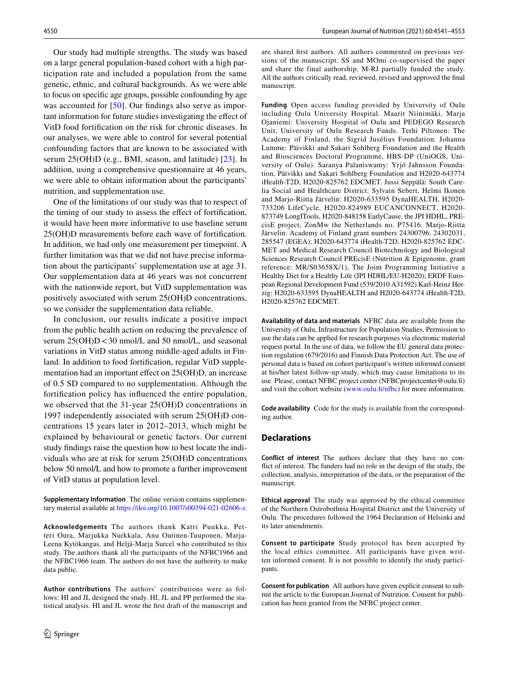Our study had multiple strengths. The study was based on a large general population-based cohort with a high participation rate and included a population from the same genetic, ethnic, and cultural backgrounds. As we were able to focus on specifc age groups, possible confounding by age was accounted for [[50](#page-11-18)]. Our findings also serve as important information for future studies investigating the efect of VitD food fortifcation on the risk for chronic diseases. In our analyses, we were able to control for several potential confounding factors that are known to be associated with serum 25(OH)D (e.g., BMI, season, and latitude) [\[23\]](#page-10-21). In addition, using a comprehensive questionnaire at 46 years, we were able to obtain information about the participants' nutrition, and supplementation use.

One of the limitations of our study was that to respect of the timing of our study to assess the efect of fortifcation, it would have been more informative to use baseline serum 25(OH)D measurements before each wave of fortifcation. In addition, we had only one measurement per timepoint. A further limitation was that we did not have precise information about the participants' supplementation use at age 31. Our supplementation data at 46 years was not concurrent with the nationwide report, but VitD supplementation was positively associated with serum 25(OH)D concentrations, so we consider the supplementation data reliable.

In conclusion, our results indicate a positive impact from the public health action on reducing the prevalence of serum  $25(OH)D < 30$  nmol/L and 50 nmol/L, and seasonal variations in VitD status among middle-aged adults in Finland. In addition to food fortifcation, regular VitD supplementation had an important effect on 25(OH)D, an increase of 0.5 SD compared to no supplementation. Although the fortifcation policy has infuenced the entire population, we observed that the 31-year 25(OH)D concentrations in 1997 independently associated with serum 25(OH)D concentrations 15 years later in 2012–2013, which might be explained by behavioural or genetic factors. Our current study fndings raise the question how to best locate the individuals who are at risk for serum 25(OH)D concentrations below 50 nmol/L and how to promote a further improvement of VitD status at population level.

**Supplementary Information** The online version contains supplementary material available at<https://doi.org/10.1007/s00394-021-02606-z>.

**Acknowledgements** The authors thank Katri Puukka, Petteri Oura, Marjukka Nurkkala, Anu Outinen-Tuuponen, Marja-Leena Kytökangas, and Heljä-Marja Surcel who contributed to this study. The authors thank all the participants of the NFBC1966 and the NFBC1966 team. The authors do not have the authority to make data public.

**Author contributions** The authors' contributions were as follows: HI and JL designed the study. HI, JL and PP performed the statistical analysis. HI and JL wrote the frst draft of the manuscript and are shared frst authors. All authors commented on previous versions of the manuscript. SS and MOmi co-supervised the paper and share the final authorship. M-RJ partially funded the study. All the authors critically read, reviewed, revised and approved the fnal manuscript.

**Funding** Open access funding provided by University of Oulu including Oulu University Hospital. Maarit Niinimäki, Marja Ojaniemi: University Hospital of Oulu and PEDEGO Research Unit, University of Oulu Research Funds. Terhi Piltonen: The Academy of Finland, the Sigrid Jusélius Foundation. Johanna Lumme: Päivikki and Sakari Sohlberg Foundation and the Health and Biosciences Doctoral Programme, HBS-DP (UniOGS, University of Oulu). Saranya Palaniswamy: Yrjö Jahnsson Foundation, Päivikki and Sakari Sohlberg Foundation and H2020-643774 iHealth-T2D, H2020-825762 EDCMET. Jussi Seppälä: South Carelia Social and Healthcare District. Sylvain Sebert, Helmi Ikonen and Marjo-Riitta Järvelin: H2020-633595 DynaHEALTH, H2020- 733206 LifeCycle, H2020-824989 EUCANCONNECT, H2020- 873749 LongITools, H2020-848158 EarlyCause, the JPI HDHL, PREcisE project, ZonMw the Netherlands no. P75416. Marjo-Riitta Järvelin: Academy of Finland grant numbers 24300796, 24302031, 285547 (EGEA); H2020-643774 iHealth-T2D, H2020-825762 EDC-MET and Medical Research Council Biotechnology and Biological Sciences Research Council PREcisE (Nutrition & Epigenome, grant reference: MR/S03658X/1), The Joint Programming Initiative a Healthy Diet for a Healthy Life (JPI HDHL/EU-H2020); ERDF European Regional Development Fund (539/2010 A31592) Karl-Heinz Herzig: H2020-633595 DynaHEALTH and H2020-643774 iHealth-T2D, H2020-825762 EDCMET.

**Availability of data and materials** NFBC data are available from the University of Oulu, Infrastructure for Population Studies. Permission to use the data can be applied for research purposes via electronic material request portal. In the use of data, we follow the EU general data protection regulation (679/2016) and Finnish Data Protection Act. The use of personal data is based on cohort participant's written informed consent at his/her latest follow-up study, which may cause limitations to its use. Please, contact NFBC project center (NFBCprojectcenter@oulu.fi) and visit the cohort website (www.oulu.fi/nfbc) for more information.

**Code availability** Code for the study is available from the corresponding author.

#### **Declarations**

**Conflict of interest** The authors declare that they have no confict of interest. The funders had no role in the design of the study, the collection, analysis, interpretation of the data, or the preparation of the manuscript.

**Ethical approval** The study was approved by the ethical committee of the Northern Ostrobothnia Hospital District and the University of Oulu. The procedures followed the 1964 Declaration of Helsinki and its later amendments.

**Consent to participate** Study protocol has been accepted by the local ethics committee. All participants have given written informed consent. It is not possible to identify the study participants.

**Consent for publication** All authors have given explicit consent to submit the article to the European Journal of Nutrition. Consent for publication has been granted from the NFBC project center.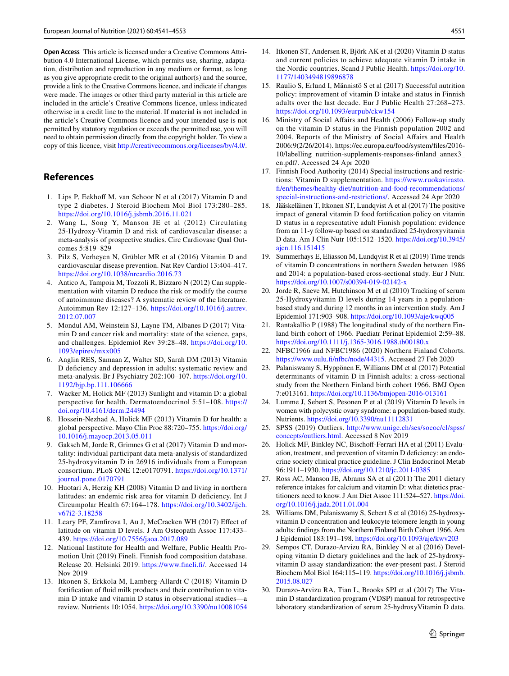**Open Access** This article is licensed under a Creative Commons Attribution 4.0 International License, which permits use, sharing, adaptation, distribution and reproduction in any medium or format, as long as you give appropriate credit to the original author(s) and the source, provide a link to the Creative Commons licence, and indicate if changes were made. The images or other third party material in this article are included in the article's Creative Commons licence, unless indicated otherwise in a credit line to the material. If material is not included in the article's Creative Commons licence and your intended use is not permitted by statutory regulation or exceeds the permitted use, you will need to obtain permission directly from the copyright holder. To view a copy of this licence, visit <http://creativecommons.org/licenses/by/4.0/>.

# **References**

- <span id="page-10-0"></span>1. Lips P, Eekhoff M, van Schoor N et al (2017) Vitamin D and type 2 diabetes. J Steroid Biochem Mol Biol 173:280–285. <https://doi.org/10.1016/j.jsbmb.2016.11.021>
- <span id="page-10-1"></span>2. Wang L, Song Y, Manson JE et al (2012) Circulating 25-Hydroxy-Vitamin D and risk of cardiovascular disease: a meta-analysis of prospective studies. Circ Cardiovasc Qual Outcomes 5:819–829
- <span id="page-10-2"></span>3. Pilz S, Verheyen N, Grübler MR et al (2016) Vitamin D and cardiovascular disease prevention. Nat Rev Cardiol 13:404–417. <https://doi.org/10.1038/nrcardio.2016.73>
- <span id="page-10-3"></span>4. Antico A, Tampoia M, Tozzoli R, Bizzaro N (2012) Can supplementation with vitamin D reduce the risk or modify the course of autoimmune diseases? A systematic review of the literature. Autoimmun Rev 12:127–136. [https://doi.org/10.1016/j.autrev.](https://doi.org/10.1016/j.autrev.2012.07.007) [2012.07.007](https://doi.org/10.1016/j.autrev.2012.07.007)
- <span id="page-10-4"></span>5. Mondul AM, Weinstein SJ, Layne TM, Albanes D (2017) Vitamin D and cancer risk and mortality: state of the science, gaps, and challenges. Epidemiol Rev 39:28–48. [https://doi.org/10.](https://doi.org/10.1093/epirev/mxx005) [1093/epirev/mxx005](https://doi.org/10.1093/epirev/mxx005)
- <span id="page-10-5"></span>6. Anglin RES, Samaan Z, Walter SD, Sarah DM (2013) Vitamin D defciency and depression in adults: systematic review and meta-analysis. Br J Psychiatry 202:100–107. [https://doi.org/10.](https://doi.org/10.1192/bjp.bp.111.106666) [1192/bjp.bp.111.106666](https://doi.org/10.1192/bjp.bp.111.106666)
- <span id="page-10-6"></span>7. Wacker M, Holick MF (2013) Sunlight and vitamin D: a global perspective for health. Dermatoendocrinol 5:51–108. [https://](https://doi.org/10.4161/derm.24494) [doi.org/10.4161/derm.24494](https://doi.org/10.4161/derm.24494)
- 8. Hossein-Nezhad A, Holick MF (2013) Vitamin D for health: a global perspective. Mayo Clin Proc 88:720–755. [https://doi.org/](https://doi.org/10.1016/j.mayocp.2013.05.011) [10.1016/j.mayocp.2013.05.011](https://doi.org/10.1016/j.mayocp.2013.05.011)
- <span id="page-10-7"></span>9. Gaksch M, Jorde R, Grimnes G et al (2017) Vitamin D and mortality: individual participant data meta-analysis of standardized 25-hydroxyvitamin D in 26916 individuals from a European consortium. PLoS ONE 12:e0170791. [https://doi.org/10.1371/](https://doi.org/10.1371/journal.pone.0170791) [journal.pone.0170791](https://doi.org/10.1371/journal.pone.0170791)
- <span id="page-10-8"></span>10. Huotari A, Herzig KH (2008) Vitamin D and living in northern latitudes: an endemic risk area for vitamin D deficiency. Int J Circumpolar Health 67:164–178. [https://doi.org/10.3402/ijch.](https://doi.org/10.3402/ijch.v67i2-3.18258) [v67i2-3.18258](https://doi.org/10.3402/ijch.v67i2-3.18258)
- <span id="page-10-9"></span>11. Leary PF, Zamfrova I, Au J, McCracken WH (2017) Efect of latitude on vitamin D levels. J Am Osteopath Assoc 117:433– 439. <https://doi.org/10.7556/jaoa.2017.089>
- <span id="page-10-10"></span>12. National Institute for Health and Welfare, Public Health Promotion Unit (2019) Fineli. Finnish food composition database. Release 20. Helsinki 2019. [https://www.fneli.f/.](https://www.fineli.fi/) Accessed 14 Nov 2019
- <span id="page-10-11"></span>13. Itkonen S, Erkkola M, Lamberg-Allardt C (2018) Vitamin D fortifcation of fuid milk products and their contribution to vitamin D intake and vitamin D status in observational studies—a review. Nutrients 10:1054.<https://doi.org/10.3390/nu10081054>
- <span id="page-10-12"></span>14. Itkonen ST, Andersen R, Björk AK et al (2020) Vitamin D status and current policies to achieve adequate vitamin D intake in the Nordic countries. Scand J Public Health. [https://doi.org/10.](https://doi.org/10.1177/1403494819896878) [1177/1403494819896878](https://doi.org/10.1177/1403494819896878)
- <span id="page-10-13"></span>15. Raulio S, Erlund I, Männistö S et al (2017) Successful nutrition policy: improvement of vitamin D intake and status in Finnish adults over the last decade. Eur J Public Health 27:268–273. <https://doi.org/10.1093/eurpub/ckw154>
- <span id="page-10-14"></span>16. Ministry of Social Afairs and Health (2006) Follow-up study on the vitamin D status in the Finnish population 2002 and 2004. Reports of the Ministry of Social Afairs and Health 2006:9(2/26/2014). https://ec.europa.eu/food/system/fles/2016- 10/labelling\_nutrition-supplements-responses-fnland\_annex3\_ en.pdf/. Accessed 24 Apr 2020
- <span id="page-10-15"></span>17. Finnish Food Authority (2014) Special instructions and restrictions: Vitamin D supplementation. [https://www.ruokavirasto.](https://www.ruokavirasto.fi/en/themes/healthy-diet/nutrition-and-food-recommendations/special-instructions-and-restrictions/) [f/en/themes/healthy-diet/nutrition-and-food-recommendations/](https://www.ruokavirasto.fi/en/themes/healthy-diet/nutrition-and-food-recommendations/special-instructions-and-restrictions/) [special-instructions-and-restrictions/.](https://www.ruokavirasto.fi/en/themes/healthy-diet/nutrition-and-food-recommendations/special-instructions-and-restrictions/) Accessed 24 Apr 2020
- <span id="page-10-16"></span>18. Jääskeläinen T, Itkonen ST, Lundqvist A et al (2017) The positive impact of general vitamin D food fortifcation policy on vitamin D status in a representative adult Finnish population: evidence from an 11-y follow-up based on standardized 25-hydroxyvitamin D data. Am J Clin Nutr 105:1512–1520. [https://doi.org/10.3945/](https://doi.org/10.3945/ajcn.116.151415) [ajcn.116.151415](https://doi.org/10.3945/ajcn.116.151415)
- <span id="page-10-17"></span>19. Summerhays E, Eliasson M, Lundqvist R et al (2019) Time trends of vitamin D concentrations in northern Sweden between 1986 and 2014: a population-based cross-sectional study. Eur J Nutr. <https://doi.org/10.1007/s00394-019-02142-x>
- <span id="page-10-18"></span>20. Jorde R, Sneve M, Hutchinson M et al (2010) Tracking of serum 25-Hydroxyvitamin D levels during 14 years in a populationbased study and during 12 months in an intervention study. Am J Epidemiol 171:903–908. <https://doi.org/10.1093/aje/kwq005>
- <span id="page-10-19"></span>21. Rantakallio P (1988) The longitudinal study of the northern Finland birth cohort of 1966. Paediatr Perinat Epidemiol 2:59–88. <https://doi.org/10.1111/j.1365-3016.1988.tb00180.x>
- <span id="page-10-20"></span>22. NFBC1966 and NFBC1986 (2020) Northern Finland Cohorts. [https://www.oulu.f/nfbc/node/44315](https://www.oulu.fi/nfbc/node/44315). Accessed 27 Feb 2020
- <span id="page-10-21"></span>23. Palaniswamy S, Hyppönen E, Williams DM et al (2017) Potential determinants of vitamin D in Finnish adults: a cross-sectional study from the Northern Finland birth cohort 1966. BMJ Open 7:e013161. <https://doi.org/10.1136/bmjopen-2016-013161>
- <span id="page-10-22"></span>24. Lumme J, Sebert S, Pesonen P et al (2019) Vitamin D levels in women with polycystic ovary syndrome: a population-based study. Nutrients.<https://doi.org/10.3390/nu11112831>
- <span id="page-10-23"></span>25. SPSS (2019) Outliers. [http://www.unige.ch/ses/sococ/cl/spss/](http://www.unige.ch/ses/sococ/cl/spss/concepts/outliers.html) [concepts/outliers.html](http://www.unige.ch/ses/sococ/cl/spss/concepts/outliers.html). Accessed 8 Nov 2019
- <span id="page-10-24"></span>26. Holick MF, Binkley NC, Bischoff-Ferrari HA et al (2011) Evaluation, treatment, and prevention of vitamin D defciency: an endocrine society clinical practice guideline. J Clin Endocrinol Metab 96:1911–1930.<https://doi.org/10.1210/jc.2011-0385>
- <span id="page-10-25"></span>27. Ross AC, Manson JE, Abrams SA et al (2011) The 2011 dietary reference intakes for calcium and vitamin D: what dietetics practitioners need to know. J Am Diet Assoc 111:524–527. [https://doi.](https://doi.org/10.1016/j.jada.2011.01.004) [org/10.1016/j.jada.2011.01.004](https://doi.org/10.1016/j.jada.2011.01.004)
- <span id="page-10-26"></span>28. Williams DM, Palaniswamy S, Sebert S et al (2016) 25-hydroxyvitamin D concentration and leukocyte telomere length in young adults: fndings from the Northern Finland Birth Cohort 1966. Am J Epidemiol 183:191–198. <https://doi.org/10.1093/aje/kwv203>
- <span id="page-10-27"></span>29. Sempos CT, Durazo-Arvizu RA, Binkley N et al (2016) Developing vitamin D dietary guidelines and the lack of 25-hydroxyvitamin D assay standardization: the ever-present past. J Steroid Biochem Mol Biol 164:115–119. [https://doi.org/10.1016/j.jsbmb.](https://doi.org/10.1016/j.jsbmb.2015.08.027) [2015.08.027](https://doi.org/10.1016/j.jsbmb.2015.08.027)
- <span id="page-10-28"></span>30. Durazo-Arvizu RA, Tian L, Brooks SPJ et al (2017) The Vitamin D standardization program (VDSP) manual for retrospective laboratory standardization of serum 25-hydroxyVitamin D data.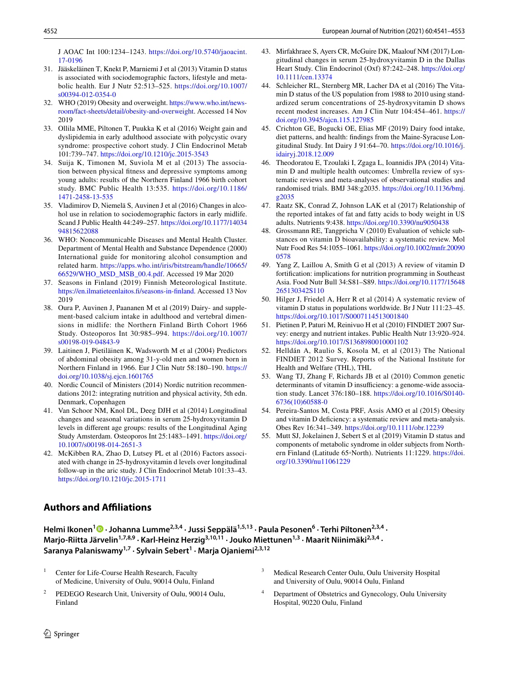J AOAC Int 100:1234–1243. [https://doi.org/10.5740/jaoacint.](https://doi.org/10.5740/jaoacint.17-0196) [17-0196](https://doi.org/10.5740/jaoacint.17-0196)

- <span id="page-11-0"></span>31. Jääskeläinen T, Knekt P, Marniemi J et al (2013) Vitamin D status is associated with sociodemographic factors, lifestyle and metabolic health. Eur J Nutr 52:513–525. [https://doi.org/10.1007/](https://doi.org/10.1007/s00394-012-0354-0) [s00394-012-0354-0](https://doi.org/10.1007/s00394-012-0354-0)
- <span id="page-11-1"></span>32. WHO (2019) Obesity and overweight. [https://www.who.int/news](https://www.who.int/news-room/fact-sheets/detail/obesity-and-overweight)[room/fact-sheets/detail/obesity-and-overweight.](https://www.who.int/news-room/fact-sheets/detail/obesity-and-overweight) Accessed 14 Nov 2019
- <span id="page-11-2"></span>33. Ollila MME, Piltonen T, Puukka K et al (2016) Weight gain and dyslipidemia in early adulthood associate with polycystic ovary syndrome: prospective cohort study. J Clin Endocrinol Metab 101:739–747. <https://doi.org/10.1210/jc.2015-3543>
- <span id="page-11-3"></span>34. Suija K, Timonen M, Suviola M et al (2013) The association between physical ftness and depressive symptoms among young adults: results of the Northern Finland 1966 birth cohort study. BMC Public Health 13:535. [https://doi.org/10.1186/](https://doi.org/10.1186/1471-2458-13-535) [1471-2458-13-535](https://doi.org/10.1186/1471-2458-13-535)
- <span id="page-11-4"></span>35. Vladimirov D, Niemelä S, Auvinen J et al (2016) Changes in alcohol use in relation to sociodemographic factors in early midlife. Scand J Public Health 44:249–257. [https://doi.org/10.1177/14034](https://doi.org/10.1177/1403494815622088) [94815622088](https://doi.org/10.1177/1403494815622088)
- <span id="page-11-5"></span>36. WHO: Noncommunicable Diseases and Mental Health Cluster. Department of Mental Health and Substance Dependence (2000) International guide for monitoring alcohol consumption and related harm. [https://apps.who.int/iris/bitstream/handle/10665/](https://apps.who.int/iris/bitstream/handle/10665/66529/WHO_MSD_MSB_00.4.pdf) [66529/WHO\\_MSD\\_MSB\\_00.4.pdf](https://apps.who.int/iris/bitstream/handle/10665/66529/WHO_MSD_MSB_00.4.pdf). Accessed 19 Mar 2020
- <span id="page-11-6"></span>37. Seasons in Finland (2019) Finnish Meteorological Institute. [https://en.ilmatieteenlaitos.f/seasons-in-fnland.](https://en.ilmatieteenlaitos.fi/seasons-in-finland) Accessed 13 Nov 2019
- <span id="page-11-7"></span>38. Oura P, Auvinen J, Paananen M et al (2019) Dairy- and supplement-based calcium intake in adulthood and vertebral dimensions in midlife: the Northern Finland Birth Cohort 1966 Study. Osteoporos Int 30:985–994. [https://doi.org/10.1007/](https://doi.org/10.1007/s00198-019-04843-9) [s00198-019-04843-9](https://doi.org/10.1007/s00198-019-04843-9)
- <span id="page-11-8"></span>39. Laitinen J, Pietiläinen K, Wadsworth M et al (2004) Predictors of abdominal obesity among 31-y-old men and women born in Northern Finland in 1966. Eur J Clin Nutr 58:180–190. [https://](https://doi.org/10.1038/sj.ejcn.1601765) [doi.org/10.1038/sj.ejcn.1601765](https://doi.org/10.1038/sj.ejcn.1601765)
- <span id="page-11-9"></span>40. Nordic Council of Ministers (2014) Nordic nutrition recommendations 2012: integrating nutrition and physical activity, 5th edn. Denmark, Copenhagen
- <span id="page-11-10"></span>41. Van Schoor NM, Knol DL, Deeg DJH et al (2014) Longitudinal changes and seasonal variations in serum 25-hydroxyvitamin D levels in diferent age groups: results of the Longitudinal Aging Study Amsterdam. Osteoporos Int 25:1483–1491. [https://doi.org/](https://doi.org/10.1007/s00198-014-2651-3) [10.1007/s00198-014-2651-3](https://doi.org/10.1007/s00198-014-2651-3)
- <span id="page-11-11"></span>42. McKibben RA, Zhao D, Lutsey PL et al (2016) Factors associated with change in 25-hydroxyvitamin d levels over longitudinal follow-up in the aric study. J Clin Endocrinol Metab 101:33–43. <https://doi.org/10.1210/jc.2015-1711>

#### 43. Mirfakhraee S, Ayers CR, McGuire DK, Maalouf NM (2017) Longitudinal changes in serum 25-hydroxyvitamin D in the Dallas Heart Study. Clin Endocrinol (Oxf) 87:242–248. [https://doi.org/](https://doi.org/10.1111/cen.13374) [10.1111/cen.13374](https://doi.org/10.1111/cen.13374)

- <span id="page-11-12"></span>44. Schleicher RL, Sternberg MR, Lacher DA et al (2016) The Vitamin D status of the US population from 1988 to 2010 using standardized serum concentrations of 25-hydroxyvitamin D shows recent modest increases. Am J Clin Nutr 104:454–461. [https://](https://doi.org/10.3945/ajcn.115.127985) [doi.org/10.3945/ajcn.115.127985](https://doi.org/10.3945/ajcn.115.127985)
- <span id="page-11-13"></span>45. Crichton GE, Bogucki OE, Elias MF (2019) Dairy food intake, diet patterns, and health: fndings from the Maine-Syracuse Longitudinal Study. Int Dairy J 91:64–70. [https://doi.org/10.1016/j.](https://doi.org/10.1016/j.idairyj.2018.12.009) [idairyj.2018.12.009](https://doi.org/10.1016/j.idairyj.2018.12.009)
- <span id="page-11-14"></span>46. Theodoratou E, Tzoulaki I, Zgaga L, Ioannidis JPA (2014) Vitamin D and multiple health outcomes: Umbrella review of systematic reviews and meta-analyses of observational studies and randomised trials. BMJ 348:g2035. [https://doi.org/10.1136/bmj.](https://doi.org/10.1136/bmj.g2035) [g2035](https://doi.org/10.1136/bmj.g2035)
- <span id="page-11-15"></span>47. Raatz SK, Conrad Z, Johnson LAK et al (2017) Relationship of the reported intakes of fat and fatty acids to body weight in US adults. Nutrients 9:438. <https://doi.org/10.3390/nu9050438>
- <span id="page-11-16"></span>48. Grossmann RE, Tangpricha V (2010) Evaluation of vehicle substances on vitamin D bioavailability: a systematic review. Mol Nutr Food Res 54:1055–1061. [https://doi.org/10.1002/mnfr.20090](https://doi.org/10.1002/mnfr.200900578) [0578](https://doi.org/10.1002/mnfr.200900578)
- <span id="page-11-17"></span>49. Yang Z, Laillou A, Smith G et al (2013) A review of vitamin D fortifcation: implications for nutrition programming in Southeast Asia. Food Nutr Bull 34:S81–S89. [https://doi.org/10.1177/15648](https://doi.org/10.1177/15648265130342S110) [265130342S110](https://doi.org/10.1177/15648265130342S110)
- <span id="page-11-18"></span>50. Hilger J, Friedel A, Herr R et al (2014) A systematic review of vitamin D status in populations worldwide. Br J Nutr 111:23–45. <https://doi.org/10.1017/S0007114513001840>
- <span id="page-11-19"></span>51. Pietinen P, Paturi M, Reinivuo H et al (2010) FINDIET 2007 Survey: energy and nutrient intakes. Public Health Nutr 13:920–924. <https://doi.org/10.1017/S1368980010001102>
- <span id="page-11-20"></span>52. Helldán A, Raulio S, Kosola M, et al (2013) The National FINDIET 2012 Survey. Reports of the National Institute for Health and Welfare (THL), THL
- <span id="page-11-21"></span>53. Wang TJ, Zhang F, Richards JB et al (2010) Common genetic determinants of vitamin D insufficiency: a genome-wide association study. Lancet 376:180–188. [https://doi.org/10.1016/S0140-](https://doi.org/10.1016/S0140-6736(10)60588-0) [6736\(10\)60588-0](https://doi.org/10.1016/S0140-6736(10)60588-0)
- <span id="page-11-22"></span>54. Pereira-Santos M, Costa PRF, Assis AMO et al (2015) Obesity and vitamin D defciency: a systematic review and meta-analysis. Obes Rev 16:341–349. <https://doi.org/10.1111/obr.12239>
- <span id="page-11-23"></span>55. Mutt SJ, Jokelainen J, Sebert S et al (2019) Vitamin D status and components of metabolic syndrome in older subjects from Northern Finland (Latitude 65◦North). Nutrients 11:1229. [https://doi.](https://doi.org/10.3390/nu11061229) [org/10.3390/nu11061229](https://doi.org/10.3390/nu11061229)

# **Authors and Afliations**

HelmiIkonen<sup>1</sup> <sup>D</sup> · Johanna Lumme<sup>2,3,4</sup> · Jussi Seppälä<sup>1,5,13</sup> · Paula Pesonen<sup>6</sup> · Terhi Piltonen<sup>2,3,4</sup> · Marjo-Riitta Järvelin<sup>1,7,8,9</sup> · Karl-Heinz Herzig<sup>3,10,11</sup> · Jouko Miettunen<sup>1,3</sup> · Maarit Niinimäki<sup>2,3,4</sup> · **Saranya Palaniswamy1,7 · Sylvain Sebert1 · Marja Ojaniemi2,3,12**

- Center for Life-Course Health Research, Faculty of Medicine, University of Oulu, 90014 Oulu, Finland
- <sup>2</sup> PEDEGO Research Unit, University of Oulu, 90014 Oulu, Finland
- <sup>3</sup> Medical Research Center Oulu, Oulu University Hospital and University of Oulu, 90014 Oulu, Finland
- Department of Obstetrics and Gynecology, Oulu University Hospital, 90220 Oulu, Finland